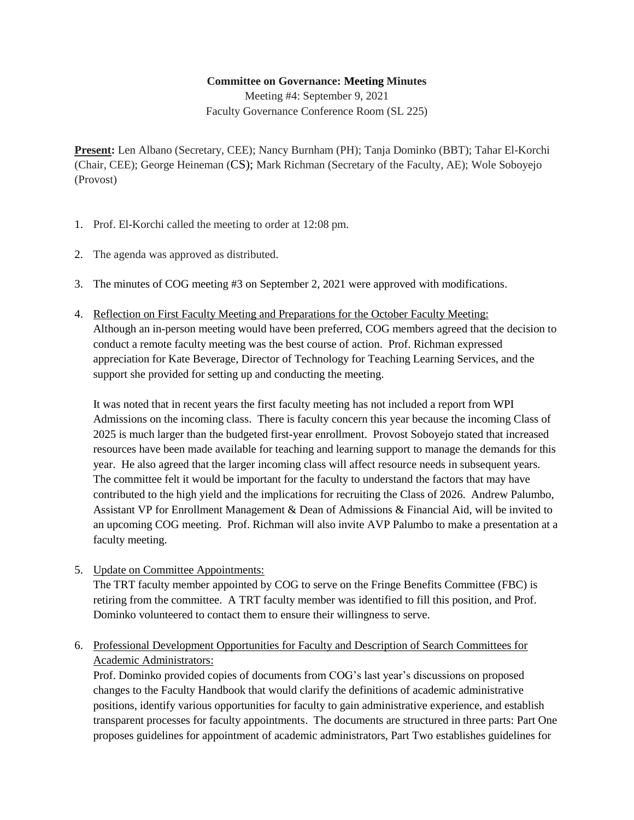## **Committee on Governance: Meeting Minutes**

Meeting #4: September 9, 2021 Faculty Governance Conference Room (SL 225)

**Present:** Len Albano (Secretary, CEE); Nancy Burnham (PH); Tanja Dominko (BBT); Tahar El-Korchi (Chair, CEE); George Heineman (CS); Mark Richman (Secretary of the Faculty, AE); Wole Soboyejo (Provost)

- 1. Prof. El-Korchi called the meeting to order at 12:08 pm.
- 2. The agenda was approved as distributed.
- 3. The minutes of COG meeting #3 on September 2, 2021 were approved with modifications.
- 4. Reflection on First Faculty Meeting and Preparations for the October Faculty Meeting: Although an in-person meeting would have been preferred, COG members agreed that the decision to conduct a remote faculty meeting was the best course of action. Prof. Richman expressed appreciation for Kate Beverage, Director of Technology for Teaching Learning Services, and the support she provided for setting up and conducting the meeting.

It was noted that in recent years the first faculty meeting has not included a report from WPI Admissions on the incoming class. There is faculty concern this year because the incoming Class of 2025 is much larger than the budgeted first-year enrollment. Provost Soboyejo stated that increased resources have been made available for teaching and learning support to manage the demands for this year. He also agreed that the larger incoming class will affect resource needs in subsequent years. The committee felt it would be important for the faculty to understand the factors that may have contributed to the high yield and the implications for recruiting the Class of 2026. Andrew Palumbo, Assistant VP for Enrollment Management & Dean of Admissions & Financial Aid, will be invited to an upcoming COG meeting. Prof. Richman will also invite AVP Palumbo to make a presentation at a faculty meeting.

5. Update on Committee Appointments:

The TRT faculty member appointed by COG to serve on the Fringe Benefits Committee (FBC) is retiring from the committee. A TRT faculty member was identified to fill this position, and Prof. Dominko volunteered to contact them to ensure their willingness to serve.

6. Professional Development Opportunities for Faculty and Description of Search Committees for Academic Administrators:

Prof. Dominko provided copies of documents from COG's last year's discussions on proposed changes to the Faculty Handbook that would clarify the definitions of academic administrative positions, identify various opportunities for faculty to gain administrative experience, and establish transparent processes for faculty appointments. The documents are structured in three parts: Part One proposes guidelines for appointment of academic administrators, Part Two establishes guidelines for